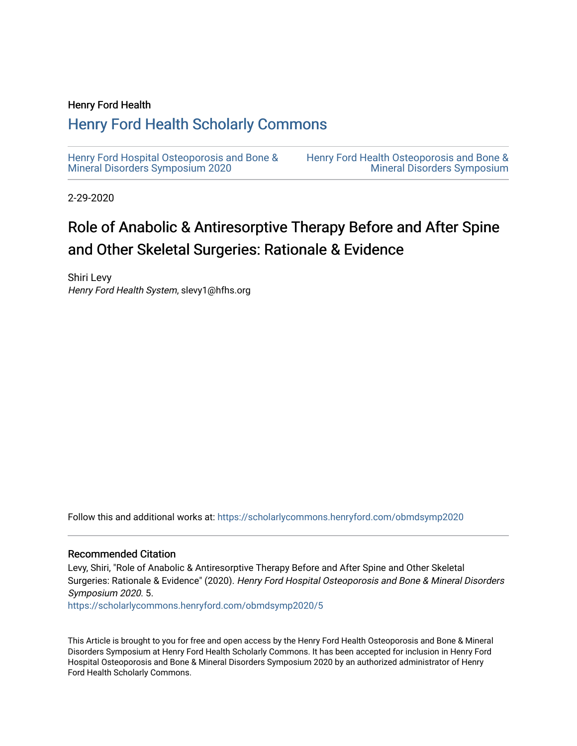#### Henry Ford Health

#### [Henry Ford Health Scholarly Commons](https://scholarlycommons.henryford.com/)

[Henry Ford Hospital Osteoporosis and Bone &](https://scholarlycommons.henryford.com/obmdsymp2020) [Mineral Disorders Symposium 2020](https://scholarlycommons.henryford.com/obmdsymp2020) 

[Henry Ford Health Osteoporosis and Bone &](https://scholarlycommons.henryford.com/obmdsymp)  [Mineral Disorders Symposium](https://scholarlycommons.henryford.com/obmdsymp) 

2-29-2020

#### Role of Anabolic & Antiresorptive Therapy Before and After Spine and Other Skeletal Surgeries: Rationale & Evidence

Shiri Levy Henry Ford Health System, slevy1@hfhs.org

Follow this and additional works at: [https://scholarlycommons.henryford.com/obmdsymp2020](https://scholarlycommons.henryford.com/obmdsymp2020?utm_source=scholarlycommons.henryford.com%2Fobmdsymp2020%2F5&utm_medium=PDF&utm_campaign=PDFCoverPages)

#### Recommended Citation

Levy, Shiri, "Role of Anabolic & Antiresorptive Therapy Before and After Spine and Other Skeletal Surgeries: Rationale & Evidence" (2020). Henry Ford Hospital Osteoporosis and Bone & Mineral Disorders Symposium 2020. 5.

[https://scholarlycommons.henryford.com/obmdsymp2020/5](https://scholarlycommons.henryford.com/obmdsymp2020/5?utm_source=scholarlycommons.henryford.com%2Fobmdsymp2020%2F5&utm_medium=PDF&utm_campaign=PDFCoverPages)

This Article is brought to you for free and open access by the Henry Ford Health Osteoporosis and Bone & Mineral Disorders Symposium at Henry Ford Health Scholarly Commons. It has been accepted for inclusion in Henry Ford Hospital Osteoporosis and Bone & Mineral Disorders Symposium 2020 by an authorized administrator of Henry Ford Health Scholarly Commons.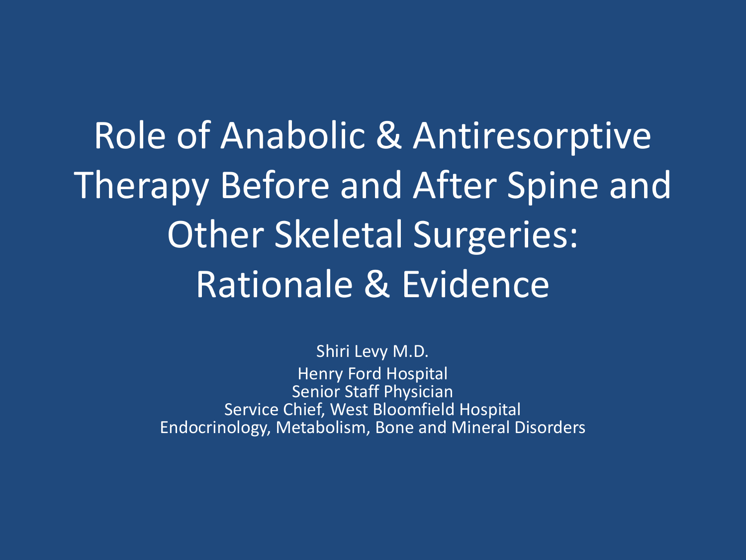Role of Anabolic & Antiresorptive Therapy Before and After Spine and Other Skeletal Surgeries: Rationale & Evidence

> Shiri Levy M.D. Henry Ford Hospital Senior Staff Physician Service Chief, West Bloomfield Hospital Endocrinology, Metabolism, Bone and Mineral Disorders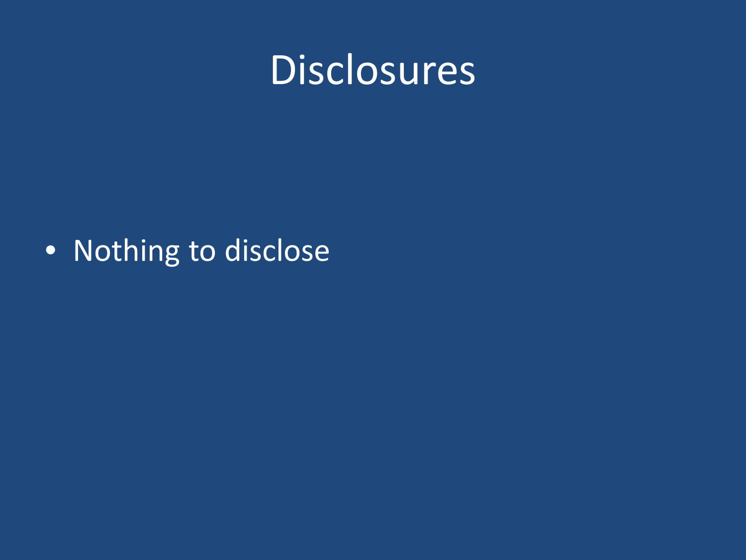

#### • Nothing to disclose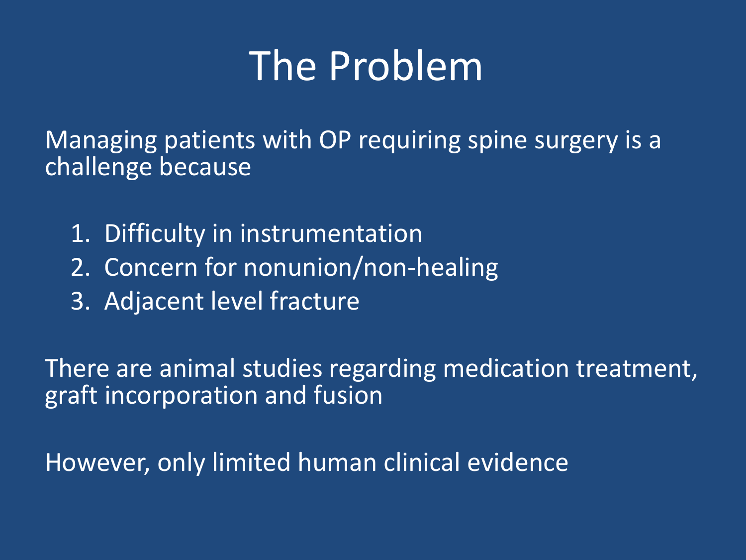# The Problem

Managing patients with OP requiring spine surgery is a challenge because

- 1. Difficulty in instrumentation
- 2. Concern for nonunion/non-healing
- 3. Adjacent level fracture

There are animal studies regarding medication treatment, graft incorporation and fusion

However, only limited human clinical evidence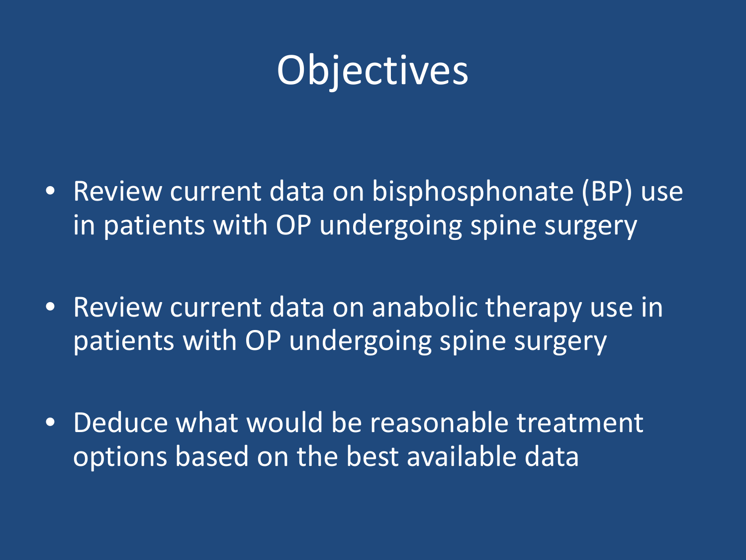

- Review current data on bisphosphonate (BP) use in patients with OP undergoing spine surgery
- Review current data on anabolic therapy use in patients with OP undergoing spine surgery
- Deduce what would be reasonable treatment options based on the best available data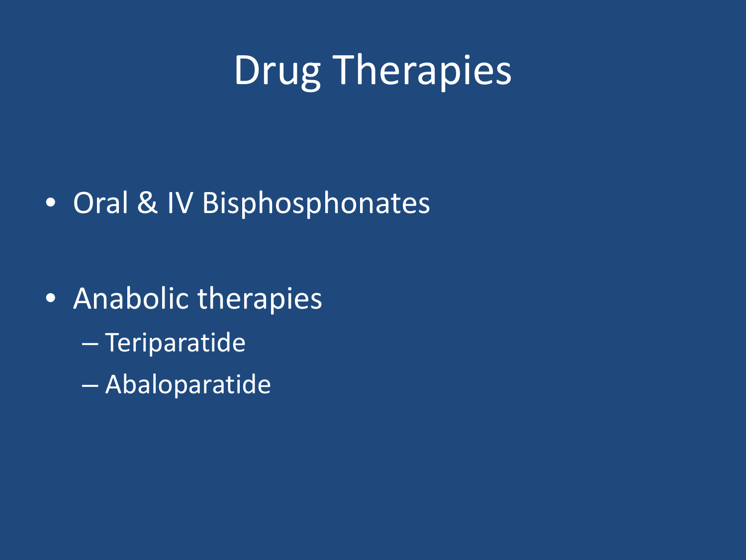# Drug Therapies

#### • Oral & IV Bisphosphonates

• Anabolic therapies – Teriparatide – Abaloparatide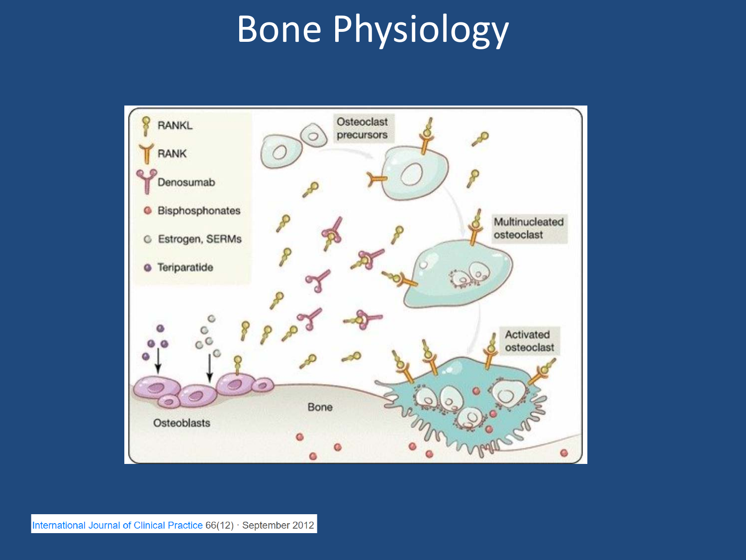## Bone Physiology

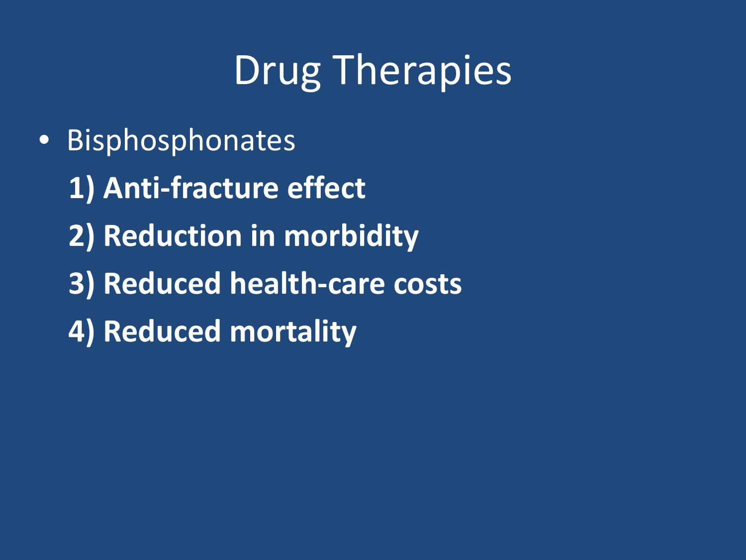# Drug Therapies

• Bisphosphonates **1) Anti-fracture effect 2) Reduction in morbidity 3) Reduced health-care costs 4) Reduced mortality**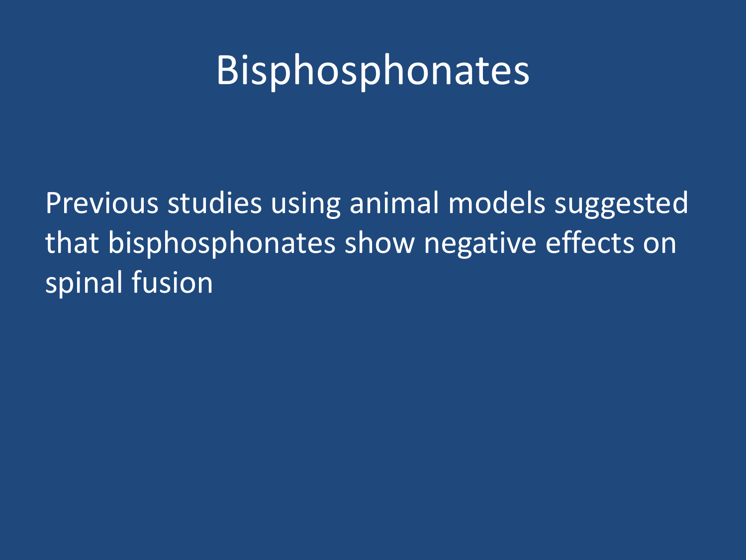### Bisphosphonates

Previous studies using animal models suggested that bisphosphonates show negative effects on spinal fusion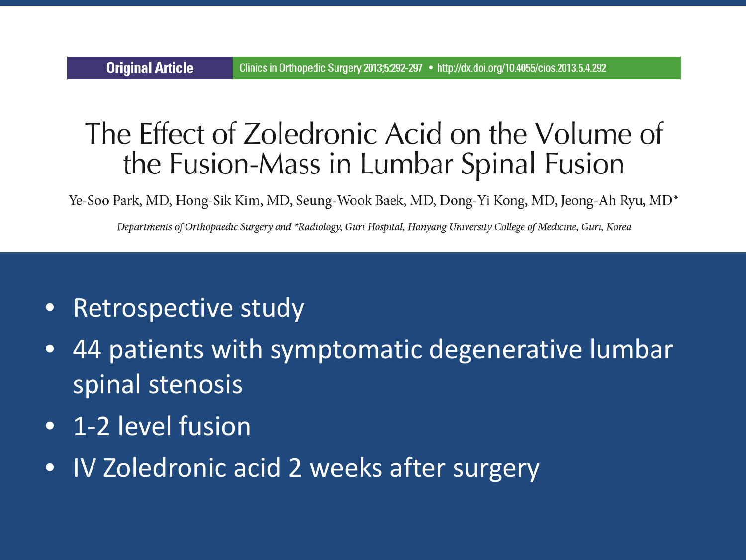#### The Effect of Zoledronic Acid on the Volume of the Fusion-Mass in Lumbar Spinal Fusion

Ye-Soo Park, MD, Hong-Sik Kim, MD, Seung-Wook Baek, MD, Dong-Yi Kong, MD, Jeong-Ah Ryu, MD<sup>\*</sup>

Departments of Orthopaedic Surgery and \*Radiology, Guri Hospital, Hanyang University College of Medicine, Guri, Korea

- Retrospective study
- 44 patients with symptomatic degenerative lumbar spinal stenosis
- 1-2 level fusion

**Original Article** 

• IV Zoledronic acid 2 weeks after surgery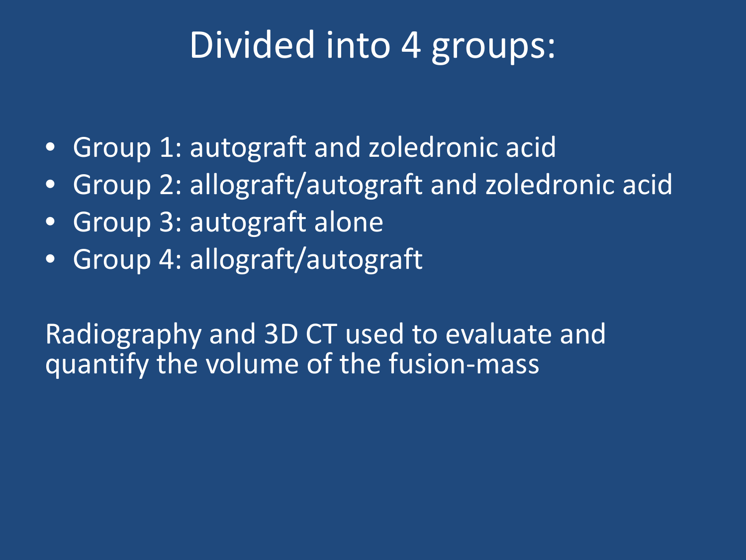#### Divided into 4 groups:

- Group 1: autograft and zoledronic acid
- Group 2: allograft/autograft and zoledronic acid
- Group 3: autograft alone
- Group 4: allograft/autograft

Radiography and 3D CT used to evaluate and quantify the volume of the fusion-mass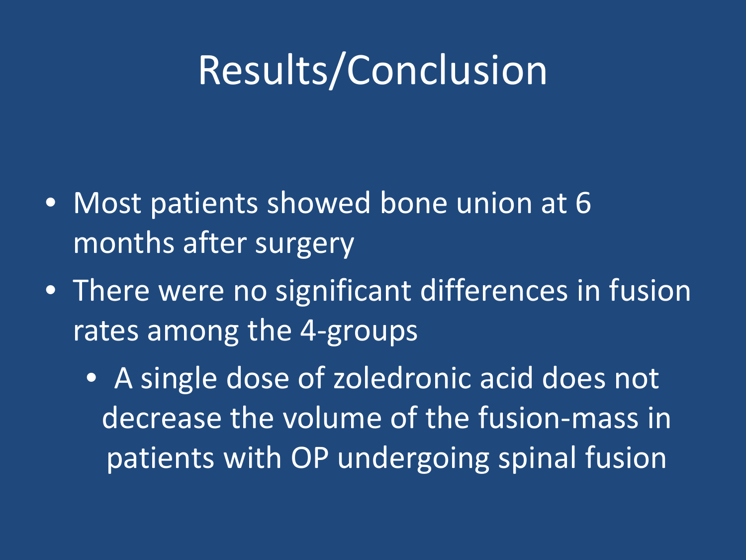# Results/Conclusion

- Most patients showed bone union at 6 months after surgery
- There were no significant differences in fusion rates among the 4-groups
	- A single dose of zoledronic acid does not decrease the volume of the fusion-mass in patients with OP undergoing spinal fusion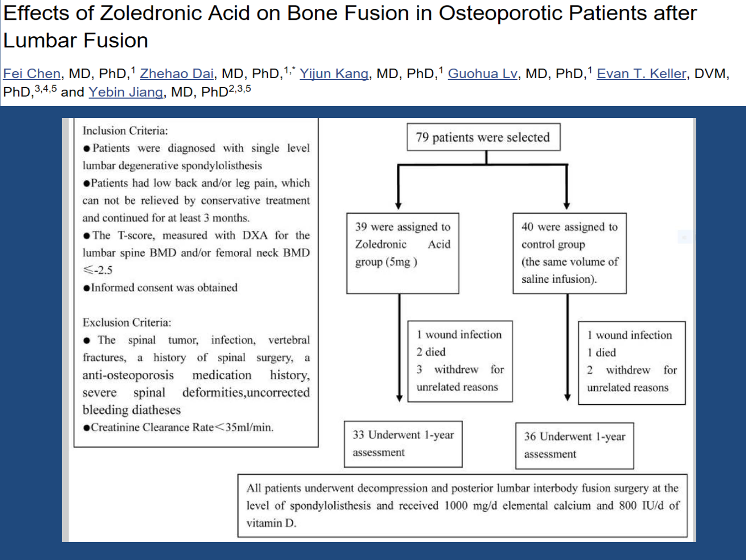#### Effects of Zoledronic Acid on Bone Fusion in Osteoporotic Patients after **Lumbar Fusion**

Fei Chen, MD, PhD,<sup>1</sup> Zhehao Dai, MD, PhD,<sup>1,\*</sup> Yijun Kang, MD, PhD,<sup>1</sup> Guohua Lv, MD, PhD,<sup>1</sup> Evan T. Keller, DVM, PhD, 3,4,5 and Yebin Jiang, MD, PhD<sup>2,3,5</sup>



vitamin D.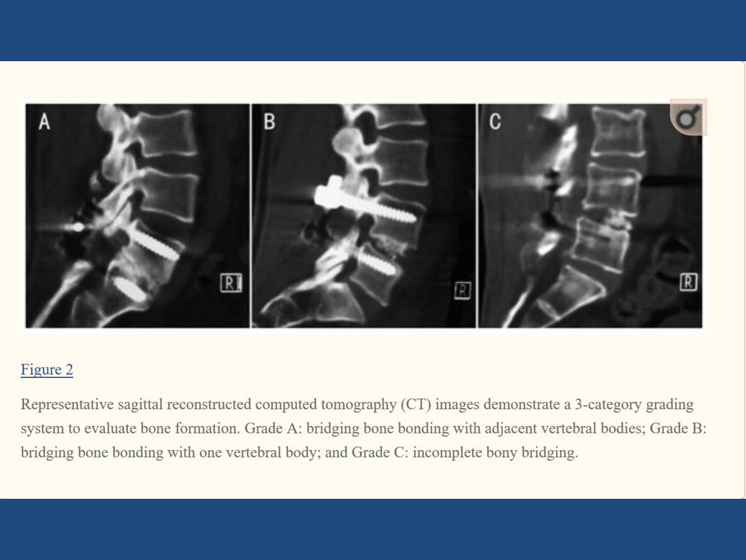

#### Figure 2

Representative sagittal reconstructed computed tomography (CT) images demonstrate a 3-category grading system to evaluate bone formation. Grade A: bridging bone bonding with adjacent vertebral bodies; Grade B: bridging bone bonding with one vertebral body; and Grade C: incomplete bony bridging.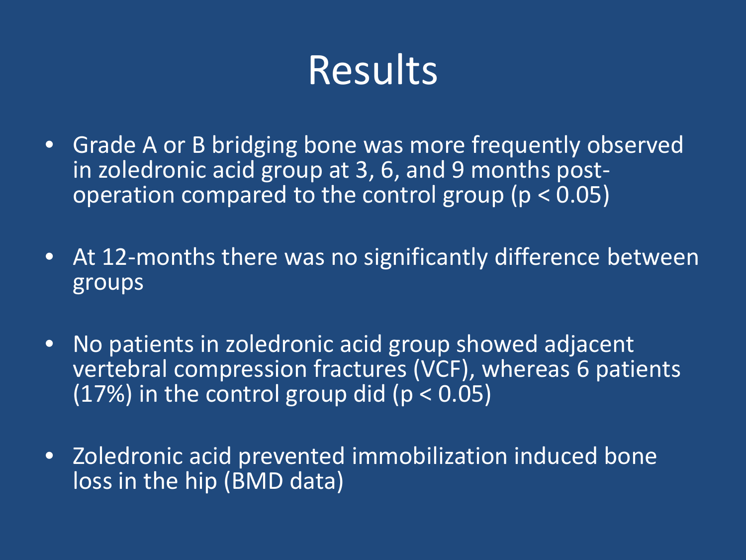## Results

- Grade A or B bridging bone was more frequently observed<br>in zoledronic acid group at 3, 6, and 9 months postoperation compared to the control group ( $p < 0.05$ )
- At 12-months there was no significantly difference between groups
- No patients in zoledronic acid group showed adjacent vertebral compression fractures (VCF), whereas 6 patients (17%) in the control group did ( $p < 0.05$ )
- Zoledronic acid prevented immobilization induced bone loss in the hip (BMD data)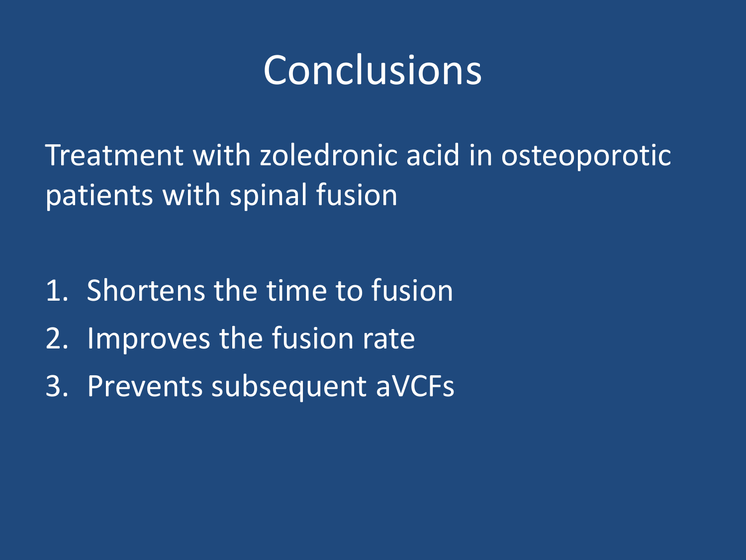### Conclusions

Treatment with zoledronic acid in osteoporotic patients with spinal fusion

- 1. Shortens the time to fusion
- 2. Improves the fusion rate
- 3. Prevents subsequent aVCFs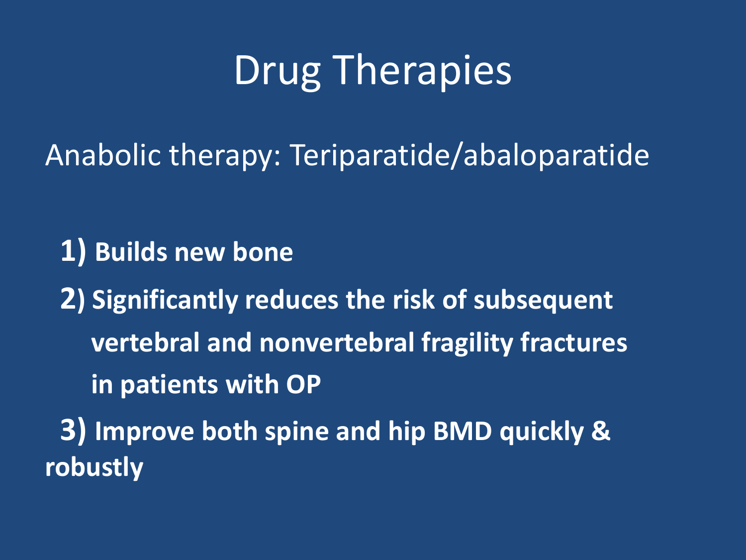# Drug Therapies

Anabolic therapy: Teriparatide/abaloparatide

**1) Builds new bone**

**2) Significantly reduces the risk of subsequent vertebral and nonvertebral fragility fractures in patients with OP 3) Improve both spine and hip BMD quickly &** 

**robustly**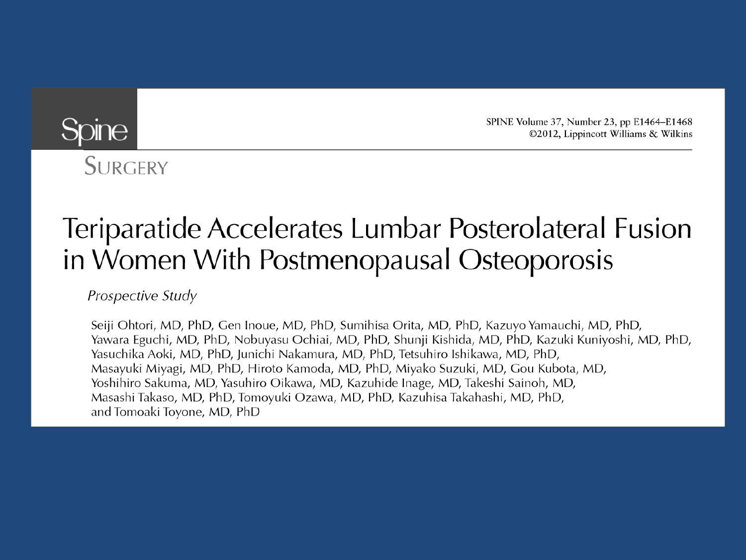SPINE Volume 37, Number 23, pp E1464-E1468 ©2012, Lippincott Williams & Wilkins

#### **Spine**

SURGERY

#### Teriparatide Accelerates Lumbar Posterolateral Fusion in Women With Postmenopausal Osteoporosis

Prospective Study

Seiji Ohtori, MD, PhD, Gen Inoue, MD, PhD, Sumihisa Orita, MD, PhD, Kazuyo Yamauchi, MD, PhD, Yawara Eguchi, MD, PhD, Nobuyasu Ochiai, MD, PhD, Shunji Kishida, MD, PhD, Kazuki Kuniyoshi, MD, PhD, Yasuchika Aoki, MD, PhD, Junichi Nakamura, MD, PhD, Tetsuhiro Ishikawa, MD, PhD, Masayuki Miyagi, MD, PhD, Hiroto Kamoda, MD, PhD, Miyako Suzuki, MD, Gou Kubota, MD, Yoshihiro Sakuma, MD, Yasuhiro Oikawa, MD, Kazuhide Inage, MD, Takeshi Sainoh, MD, Masashi Takaso, MD, PhD, Tomoyuki Ozawa, MD, PhD, Kazuhisa Takahashi, MD, PhD, and Tomoaki Toyone, MD, PhD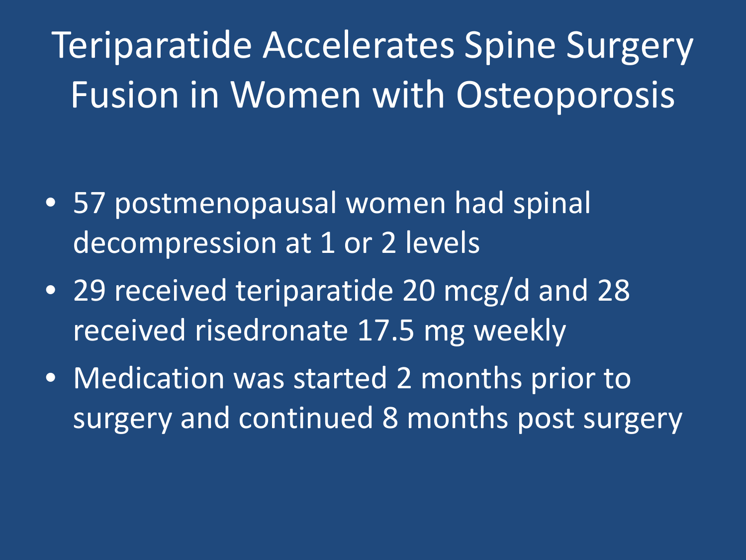Teriparatide Accelerates Spine Surgery Fusion in Women with Osteoporosis

- 57 postmenopausal women had spinal decompression at 1 or 2 levels
- 29 received teriparatide 20 mcg/d and 28 received risedronate 17.5 mg weekly
- Medication was started 2 months prior to surgery and continued 8 months post surgery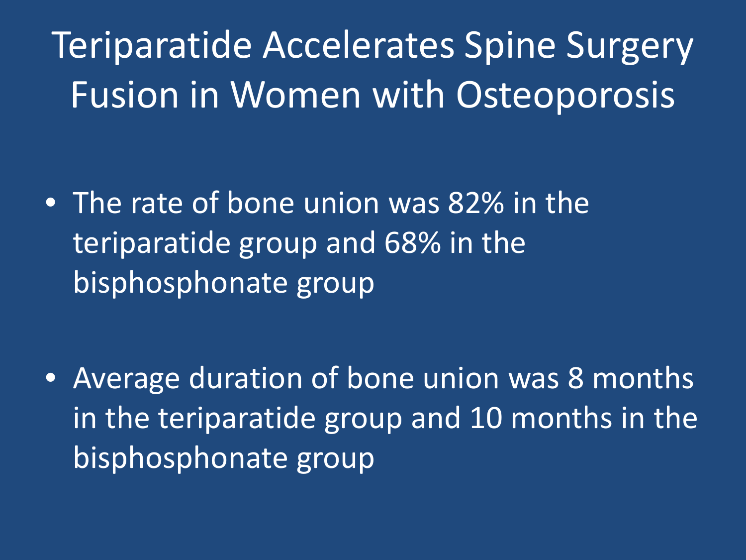Teriparatide Accelerates Spine Surgery Fusion in Women with Osteoporosis

• The rate of bone union was 82% in the teriparatide group and 68% in the bisphosphonate group

• Average duration of bone union was 8 months in the teriparatide group and 10 months in the bisphosphonate group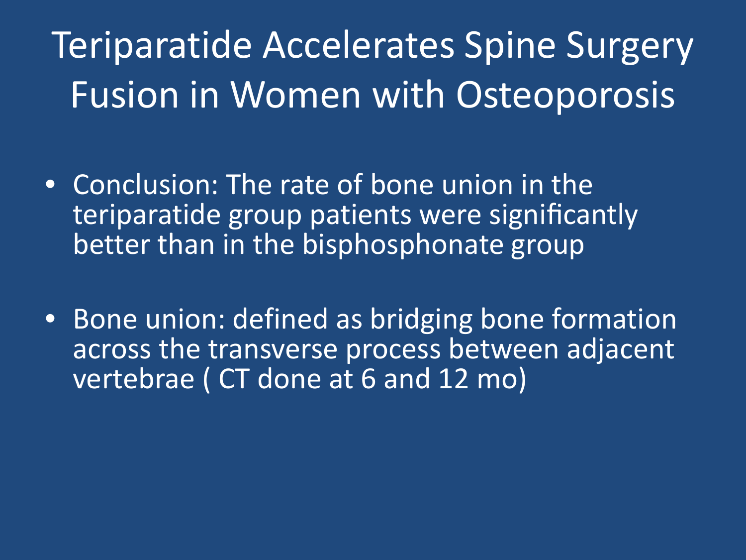# Teriparatide Accelerates Spine Surgery Fusion in Women with Osteoporosis

- Conclusion: The rate of bone union in the teriparatide group patients were significantly better than in the bisphosphonate group
- Bone union: defined as bridging bone formation across the transverse process between adjacent vertebrae ( CT done at 6 and 12 mo)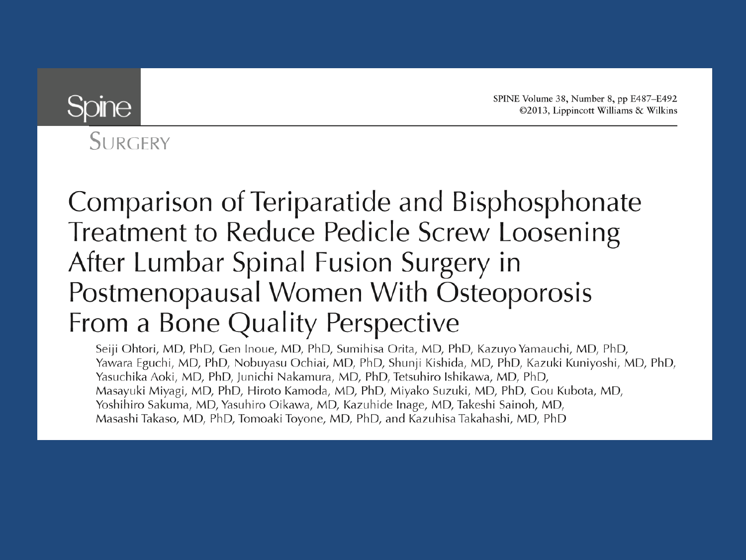SPINE Volume 38, Number 8, pp E487–E492 ©2013, Lippincott Williams & Wilkins



SURGERY

#### Comparison of Teriparatide and Bisphosphonate Treatment to Reduce Pedicle Screw Loosening After Lumbar Spinal Fusion Surgery in Postmenopausal Women With Osteoporosis From a Bone Quality Perspective

Seiji Ohtori, MD, PhD, Gen Inoue, MD, PhD, Sumihisa Orita, MD, PhD, Kazuyo Yamauchi, MD, PhD, Yawara Eguchi, MD, PhD, Nobuyasu Ochiai, MD, PhD, Shunji Kishida, MD, PhD, Kazuki Kuniyoshi, MD, PhD, Yasuchika Aoki, MD, PhD, Junichi Nakamura, MD, PhD, Tetsuhiro Ishikawa, MD, PhD, Masayuki Miyagi, MD, PhD, Hiroto Kamoda, MD, PhD, Miyako Suzuki, MD, PhD, Gou Kubota, MD, Yoshihiro Sakuma, MD, Yasuhiro Oikawa, MD, Kazuhide Inage, MD, Takeshi Sainoh, MD, Masashi Takaso, MD, PhD, Tomoaki Toyone, MD, PhD, and Kazuhisa Takahashi, MD, PhD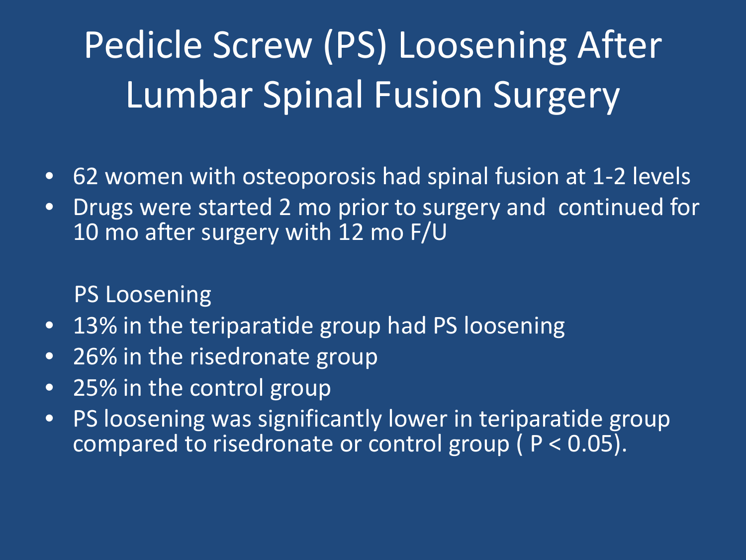# Pedicle Screw (PS) Loosening After Lumbar Spinal Fusion Surgery

- 62 women with osteoporosis had spinal fusion at 1-2 levels
- Drugs were started 2 mo prior to surgery and continued for 10 mo after surgery with 12 mo F/U

PS Loosening

- 13% in the teriparatide group had PS loosening
- 26% in the risedronate group
- 25% in the control group
- PS loosening was significantly lower in teriparatide group compared to risedronate or control group ( P < 0.05).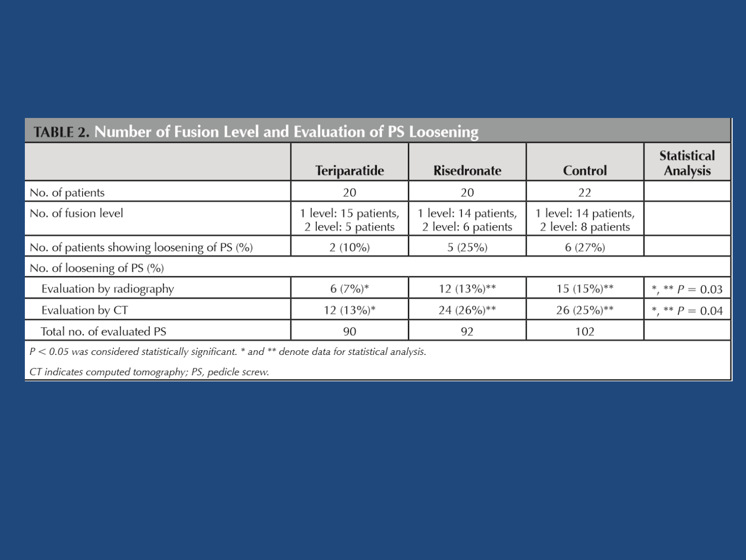| <u>HADIL Z. RUMBUCI OFFICIONI LEVERANI LYANGANON OFFICIOSCHING</u> |                                            |                                            |                                            |                                       |
|--------------------------------------------------------------------|--------------------------------------------|--------------------------------------------|--------------------------------------------|---------------------------------------|
|                                                                    | <b>Teriparatide</b>                        | <b>Risedronate</b>                         | Control                                    | <b>Statistical</b><br><b>Analysis</b> |
| No. of patients                                                    | 20                                         | 20                                         | 22                                         |                                       |
| No. of fusion level                                                | level: 15 patients,<br>2 level: 5 patients | level: 14 patients,<br>2 level: 6 patients | level: 14 patients,<br>2 level: 8 patients |                                       |
| No. of patients showing loosening of PS (%)                        | $2(10\%)$                                  | 5(25%)                                     | 6(27%)                                     |                                       |
| No. of loosening of PS (%)                                         |                                            |                                            |                                            |                                       |
| Evaluation by radiography                                          | $6(7\%)^*$                                 | $12(13\%)**$                               | $15(15\%)**$                               | *, ** $P = 0.03$                      |
| Evaluation by CT                                                   | $12(13\%)*$                                | $24(26%)**$                                | 26 $(25%)**$                               | *, ** $P = 0.04$                      |
| Total no. of evaluated PS                                          | 90                                         | 92                                         | 102                                        |                                       |
|                                                                    |                                            |                                            |                                            |                                       |

#### TARLE 2. Number of Eusion Level and Evaluation of PS Loosening

 $P < 0.05$  was considered statistically significant.  $*$  and  $**$  denote data for statistical analysis.

CT indicates computed tomography; PS, pedicle screw.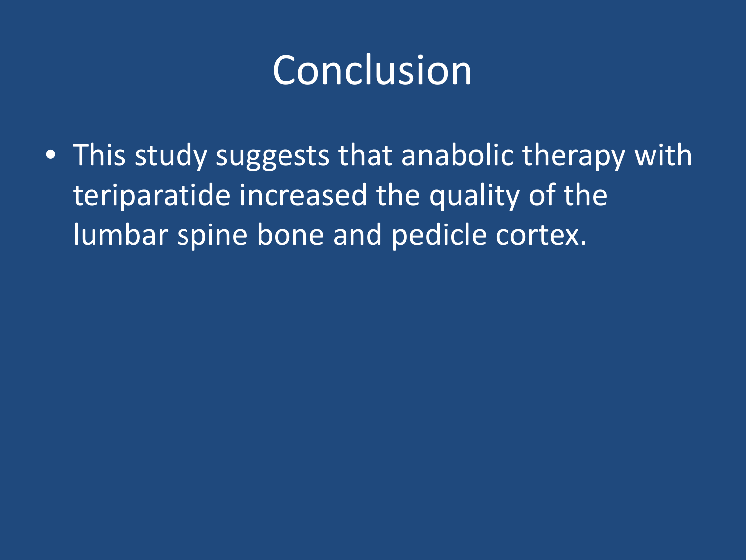### Conclusion

• This study suggests that anabolic therapy with teriparatide increased the quality of the lumbar spine bone and pedicle cortex.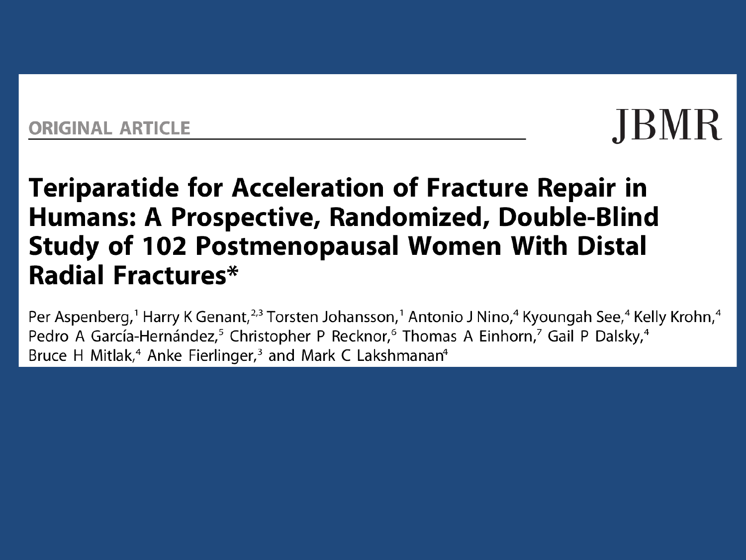#### ORIGINAL ARTICLE

# **JBMR**

#### **Teriparatide for Acceleration of Fracture Repair in** Humans: A Prospective, Randomized, Double-Blind **Study of 102 Postmenopausal Women With Distal Radial Fractures\***

Per Aspenberg,<sup>1</sup> Harry K Genant,<sup>2,3</sup> Torsten Johansson,<sup>1</sup> Antonio J Nino,<sup>4</sup> Kyoungah See,<sup>4</sup> Kelly Krohn,<sup>4</sup> Pedro A García-Hernández,<sup>5</sup> Christopher P Recknor,<sup>6</sup> Thomas A Einhorn,<sup>7</sup> Gail P Dalsky,<sup>4</sup> Bruce H Mitlak,<sup>4</sup> Anke Fierlinger,<sup>3</sup> and Mark C Lakshmanan<sup>4</sup>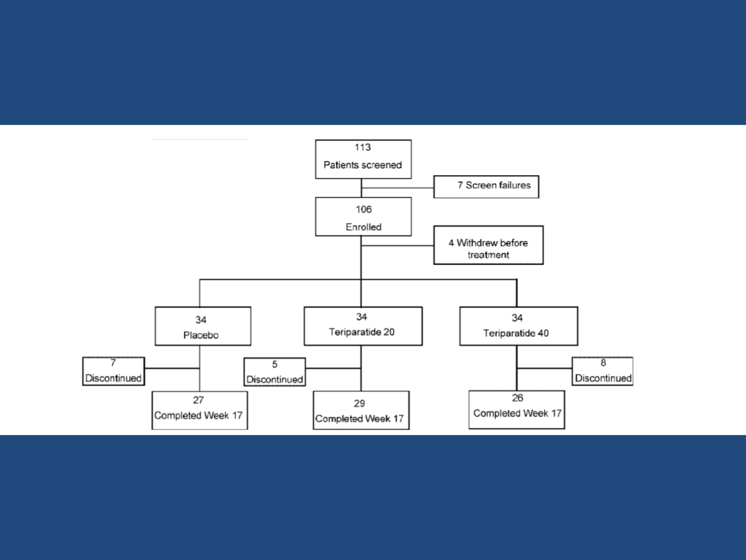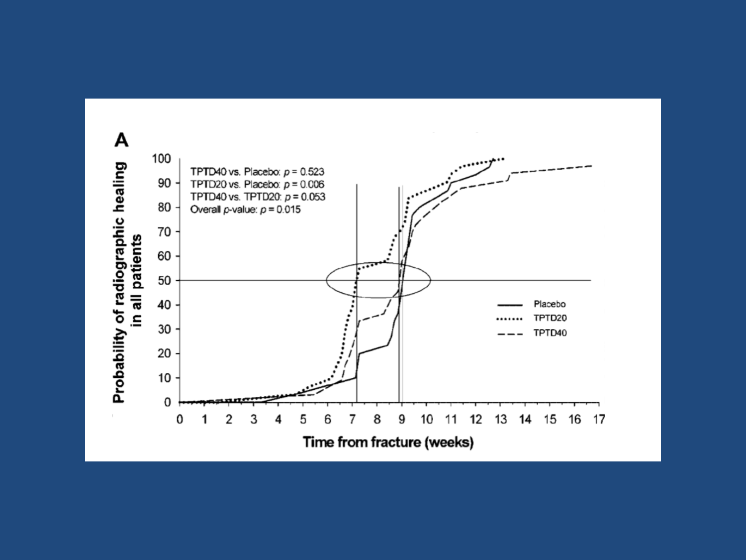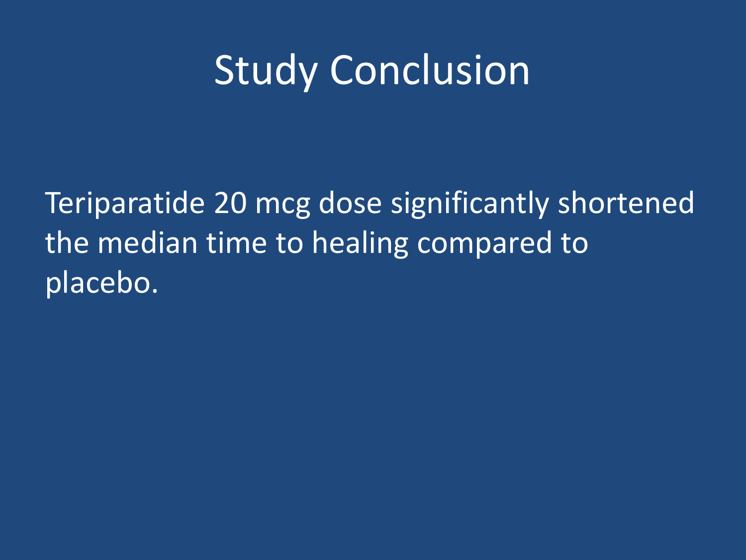### Study Conclusion

Teriparatide 20 mcg dose significantly shortened the median time to healing compared to placebo.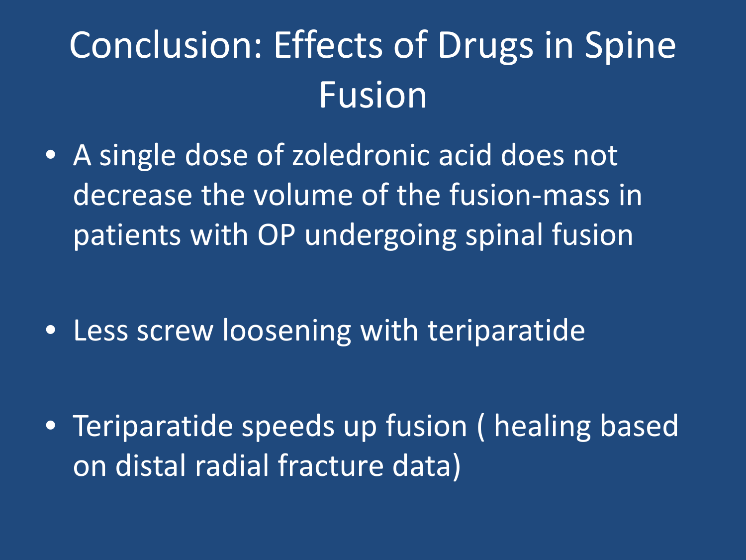# Conclusion: Effects of Drugs in Spine Fusion

• A single dose of zoledronic acid does not decrease the volume of the fusion-mass in patients with OP undergoing spinal fusion

• Less screw loosening with teriparatide

• Teriparatide speeds up fusion ( healing based on distal radial fracture data)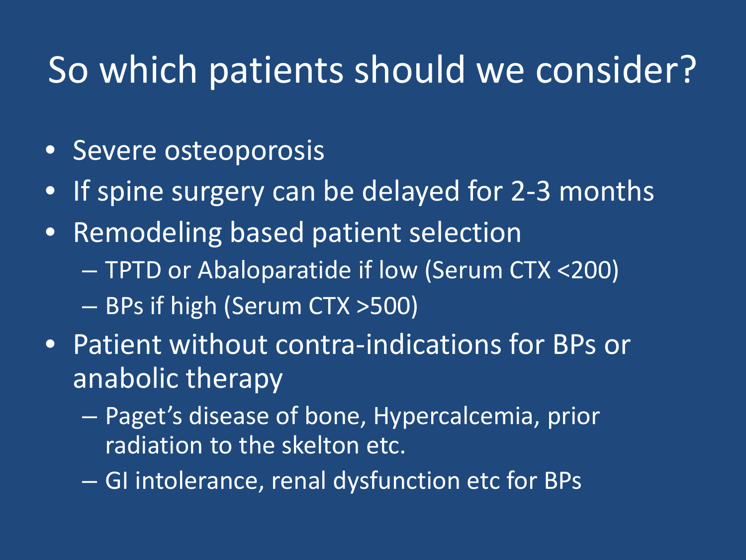#### So which patients should we consider?

- Severe osteoporosis
- If spine surgery can be delayed for 2-3 months
- Remodeling based patient selection – TPTD or Abaloparatide if low (Serum CTX <200) – BPs if high (Serum CTX >500)
- Patient without contra-indications for BPs or anabolic therapy
	- Paget's disease of bone, Hypercalcemia, prior radiation to the skelton etc.
	- GI intolerance, renal dysfunction etc for BPs